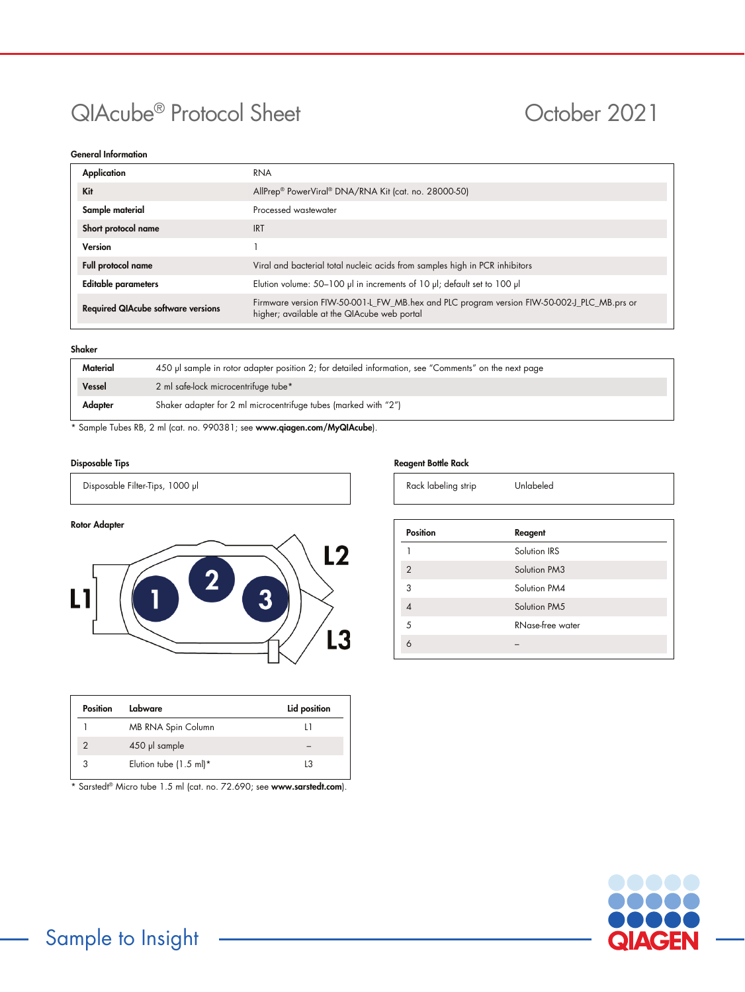# QIAcube<sup>®</sup> Protocol Sheet **October 2021**

## General Information

| Application                               | RNA                                                                                                                                       |  |  |
|-------------------------------------------|-------------------------------------------------------------------------------------------------------------------------------------------|--|--|
| Kit                                       | AllPrep® PowerViral® DNA/RNA Kit (cat. no. 28000-50)                                                                                      |  |  |
| Sample material                           | Processed wastewater                                                                                                                      |  |  |
| Short protocol name                       | <b>IRT</b>                                                                                                                                |  |  |
| Version                                   |                                                                                                                                           |  |  |
| Full protocol name                        | Viral and bacterial total nucleic acids from samples high in PCR inhibitors                                                               |  |  |
| <b>Editable parameters</b>                | Elution volume: 50-100 µl in increments of 10 µl; default set to 100 µl                                                                   |  |  |
| <b>Required QIAcube software versions</b> | Firmware version FIW-50-001-L_FW_MB.hex and PLC program version FIW-50-002-J_PLC_MB.prs or<br>higher; available at the QIAcube web portal |  |  |

#### Shaker

| Vessel<br>2 ml safe-lock microcentrifuge tube* |                                                                 |  |
|------------------------------------------------|-----------------------------------------------------------------|--|
| Adapter                                        | Shaker adapter for 2 ml microcentrifuge tubes (marked with "2") |  |

\* Sample Tubes RB, 2 ml (cat. no. 990381; see www.qiagen.com/MyQIAcube).

### Disposable Tips

Disposable Filter-Tips, 1000 µl



| Position | Labware                           | Lid position |
|----------|-----------------------------------|--------------|
|          | MB RNA Spin Column                |              |
|          | 450 µl sample                     |              |
|          | Elution tube $(1.5 \text{ ml})^*$ | l3           |

\* Sarstedt® Micro tube 1.5 ml (cat. no. 72.690; see [www.sarstedt.com](http://www.sarstedt.com/)).

#### Reagent Bottle Rack

| Rack labeling strip |  |
|---------------------|--|
|---------------------|--|

| <b>Position</b> | Reagent          |  |
|-----------------|------------------|--|
|                 | Solution IRS     |  |
| $\overline{2}$  | Solution PM3     |  |
| 3               | Solution PM4     |  |
| ⊿               | Solution PM5     |  |
| 5               | RNase-free water |  |
|                 |                  |  |
|                 |                  |  |

Unlabeled